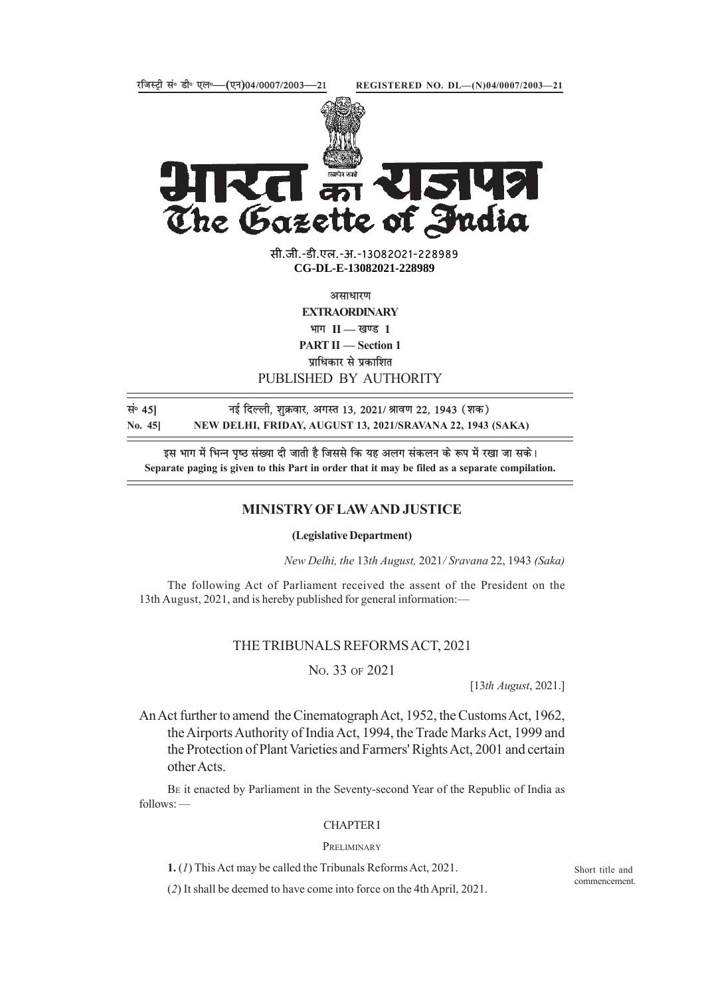

सबमेव जयते<br>**टोरियो** The Gazette of India

> सी.जी.-डी.एल.-अ.-13082021-228989 **xxxGIDExxx CG-DL-E-13082021-228989**

> > असाधारण

**EXTRAORDINARY**

 $\mathbf{H} = \mathbf{I}$  **II** — खण्ड 1

**PART II — Section 1**

**प्राधिकार से प्रकाशित** 

#### PUBLISHED BY AUTHORITY

**land 15 hand in Figory 13, 2021/ अं**सिण 22, 1943 (शक) **No. 45] NEW DELHI, FRIDAY, AUGUST 13, 2021/SRAVANA 22, 1943 (SAKA)**

इस भाग में भिन्न पष्ठ संख्या दी जाती है जिससे कि यह अलग संकलन के रूप में रखा जा सके। **Separate paging is given to this Part in order that it may be filed as a separate compilation.**

### **MINISTRY OF LAW AND JUSTICE**

**(Legislative Department)**

*New Delhi, the* 13*th August,* 2021*/ Sravana* 22, 1943 *(Saka)*

The following Act of Parliament received the assent of the President on the 13th August, 2021, and is hereby published for general information:—

### THE TRIBUNALS REFORMS ACT, 2021

### NO. 33 OF 2021

[13*th August*, 2021.]

An Act further to amend the Cinematograph Act, 1952, the Customs Act, 1962, the Airports Authority of India Act, 1994, the Trade Marks Act, 1999 and the Protection of Plant Varieties and Farmers' Rights Act, 2001 and certain other Acts.

BE it enacted by Parliament in the Seventy-second Year of the Republic of India as follows: —

#### CHAPTER I

#### PRELIMINARY

**1.** (*1*) This Act may be called the Tribunals Reforms Act, 2021.

(*2*) It shall be deemed to have come into force on the 4th April, 2021.

Short title and commencement.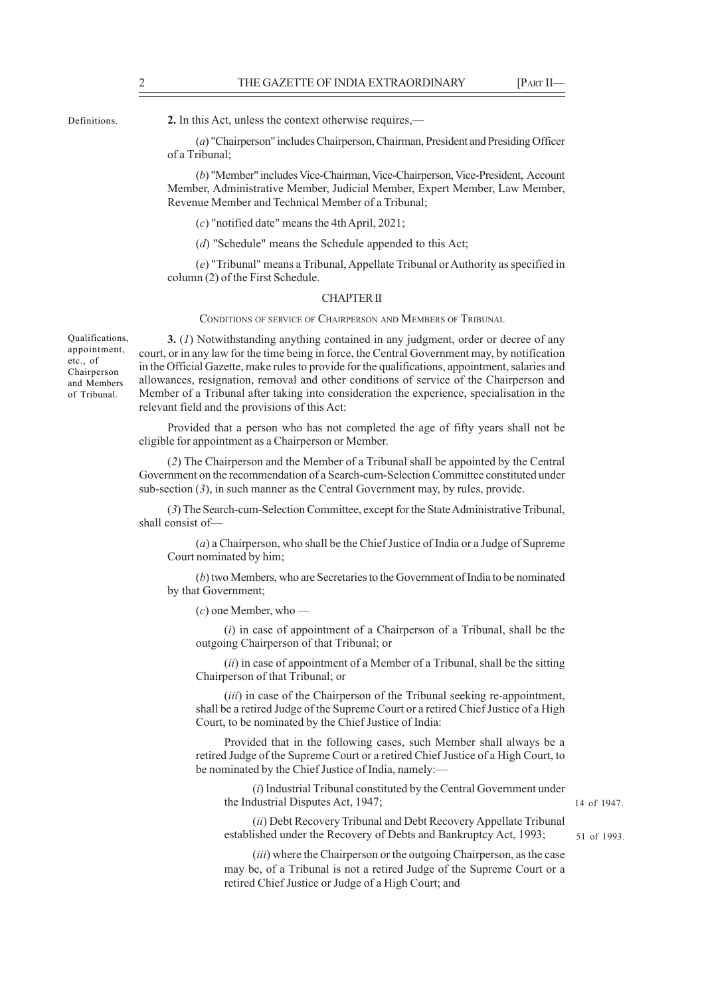Definitions.

**2.** In this Act, unless the context otherwise requires,—

(*a*) "Chairperson" includes Chairperson, Chairman, President and Presiding Officer of a Tribunal;

(*b*) "Member" includes Vice-Chairman, Vice-Chairperson, Vice-President, Account Member, Administrative Member, Judicial Member, Expert Member, Law Member, Revenue Member and Technical Member of a Tribunal;

(*c*) "notified date" means the 4th April, 2021;

(*d*) "Schedule" means the Schedule appended to this Act;

(*e*) "Tribunal" means a Tribunal, Appellate Tribunal or Authority as specified in column (2) of the First Schedule.

#### CHAPTER II

CONDITIONS OF SERVICE OF CHAIRPERSON AND MEMBERS OF TRIBUNAL

**3.** (*1*) Notwithstanding anything contained in any judgment, order or decree of any court, or in any law for the time being in force, the Central Government may, by notification in the Official Gazette, make rules to provide for the qualifications, appointment, salaries and allowances, resignation, removal and other conditions of service of the Chairperson and Member of a Tribunal after taking into consideration the experience, specialisation in the relevant field and the provisions of this Act:

Provided that a person who has not completed the age of fifty years shall not be eligible for appointment as a Chairperson or Member.

(*2*) The Chairperson and the Member of a Tribunal shall be appointed by the Central Government on the recommendation of a Search-cum-Selection Committee constituted under sub-section (*3*), in such manner as the Central Government may, by rules, provide.

(*3*) The Search-cum-Selection Committee, except for the State Administrative Tribunal, shall consist of—

(*a*) a Chairperson, who shall be the Chief Justice of India or a Judge of Supreme Court nominated by him;

(*b*) two Members, who are Secretaries to the Government of India to be nominated by that Government;

(*c*) one Member, who —

(*i*) in case of appointment of a Chairperson of a Tribunal, shall be the outgoing Chairperson of that Tribunal; or

(*ii*) in case of appointment of a Member of a Tribunal, shall be the sitting Chairperson of that Tribunal; or

(*iii*) in case of the Chairperson of the Tribunal seeking re-appointment, shall be a retired Judge of the Supreme Court or a retired Chief Justice of a High Court, to be nominated by the Chief Justice of India:

Provided that in the following cases, such Member shall always be a retired Judge of the Supreme Court or a retired Chief Justice of a High Court, to be nominated by the Chief Justice of India, namely:-

(*i*) Industrial Tribunal constituted by the Central Government under the Industrial Disputes Act, 1947;

#### 14 of 1947.

(*ii*) Debt Recovery Tribunal and Debt Recovery Appellate Tribunal established under the Recovery of Debts and Bankruptcy Act, 1993;

(*iii*) where the Chairperson or the outgoing Chairperson, as the case may be, of a Tribunal is not a retired Judge of the Supreme Court or a retired Chief Justice or Judge of a High Court; and

51 of 1993.

Qualifications, appointment, etc., of Chairperson and Members of Tribunal.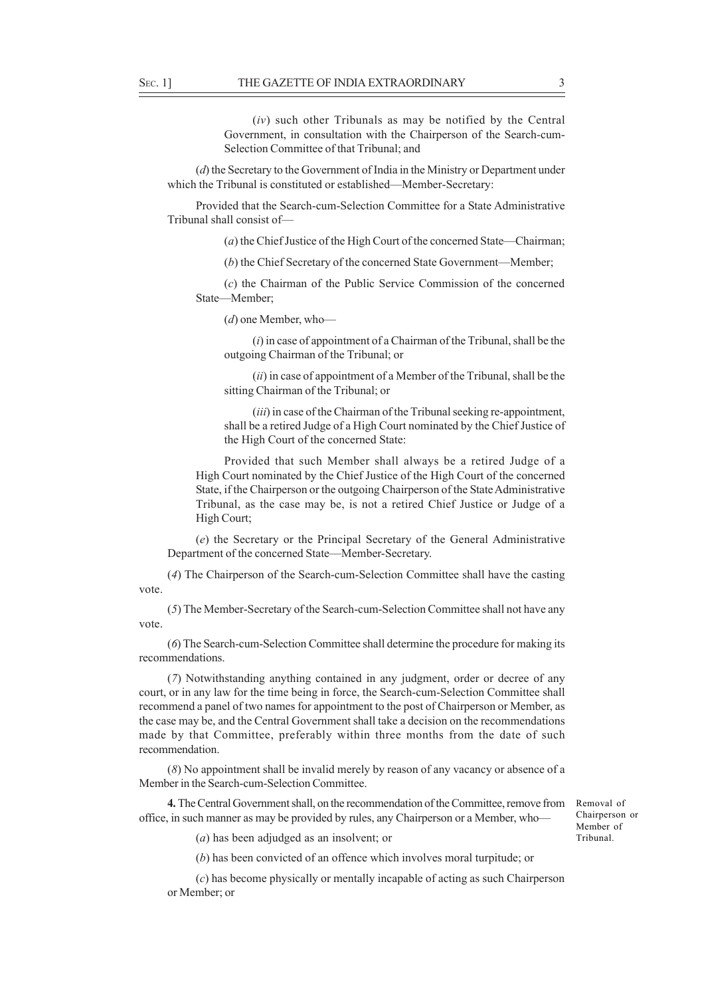(*iv*) such other Tribunals as may be notified by the Central Government, in consultation with the Chairperson of the Search-cum-Selection Committee of that Tribunal; and

(*d*) the Secretary to the Government of India in the Ministry or Department under which the Tribunal is constituted or established—Member-Secretary:

Provided that the Search-cum-Selection Committee for a State Administrative Tribunal shall consist of—

(*a*) the Chief Justice of the High Court of the concerned State—Chairman;

(*b*) the Chief Secretary of the concerned State Government—Member;

(*c*) the Chairman of the Public Service Commission of the concerned State—Member;

(*d*) one Member, who—

(*i*) in case of appointment of a Chairman of the Tribunal, shall be the outgoing Chairman of the Tribunal; or

(*ii*) in case of appointment of a Member of the Tribunal, shall be the sitting Chairman of the Tribunal; or

(*iii*) in case of the Chairman of the Tribunal seeking re-appointment, shall be a retired Judge of a High Court nominated by the Chief Justice of the High Court of the concerned State:

Provided that such Member shall always be a retired Judge of a High Court nominated by the Chief Justice of the High Court of the concerned State, if the Chairperson or the outgoing Chairperson of the State Administrative Tribunal, as the case may be, is not a retired Chief Justice or Judge of a High Court;

(*e*) the Secretary or the Principal Secretary of the General Administrative Department of the concerned State—Member-Secretary.

(*4*) The Chairperson of the Search-cum-Selection Committee shall have the casting vote.

(*5*) The Member-Secretary of the Search-cum-Selection Committee shall not have any vote.

(*6*) The Search-cum-Selection Committee shall determine the procedure for making its recommendations.

(*7*) Notwithstanding anything contained in any judgment, order or decree of any court, or in any law for the time being in force, the Search-cum-Selection Committee shall recommend a panel of two names for appointment to the post of Chairperson or Member, as the case may be, and the Central Government shall take a decision on the recommendations made by that Committee, preferably within three months from the date of such recommendation.

(*8*) No appointment shall be invalid merely by reason of any vacancy or absence of a Member in the Search-cum-Selection Committee.

**4.** The Central Government shall, on the recommendation of the Committee, remove from office, in such manner as may be provided by rules, any Chairperson or a Member, who—

Removal of Chairperson or Member of Tribunal.

(*a*) has been adjudged as an insolvent; or

(*b*) has been convicted of an offence which involves moral turpitude; or

(*c*) has become physically or mentally incapable of acting as such Chairperson or Member; or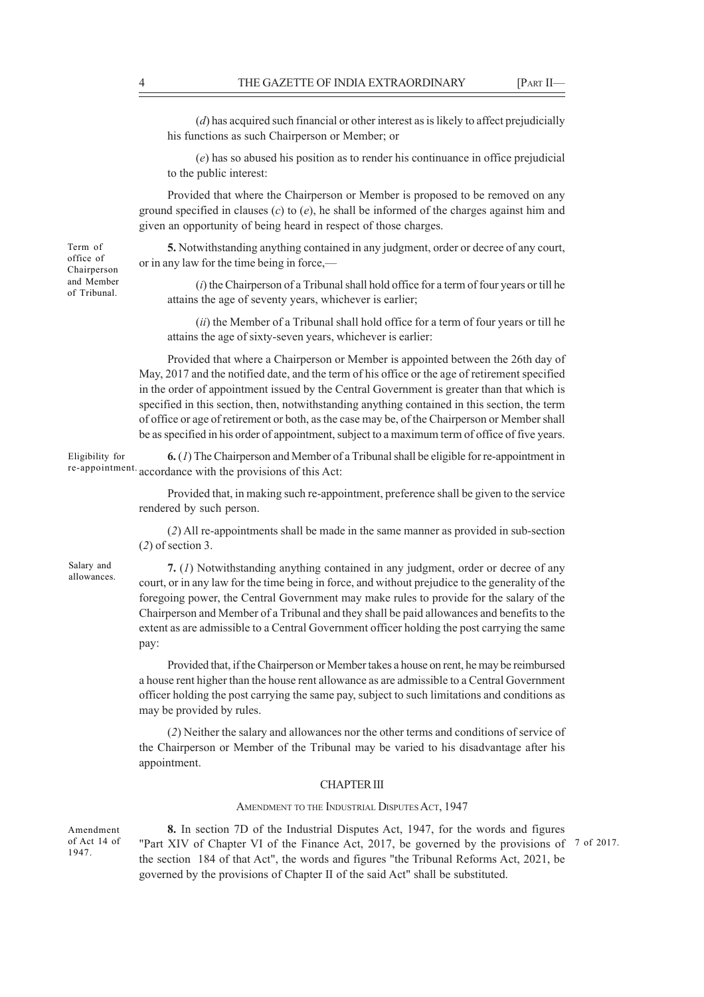(*d*) has acquired such financial or other interest as is likely to affect prejudicially his functions as such Chairperson or Member; or

(*e*) has so abused his position as to render his continuance in office prejudicial to the public interest:

Provided that where the Chairperson or Member is proposed to be removed on any ground specified in clauses (*c*) to (*e*), he shall be informed of the charges against him and given an opportunity of being heard in respect of those charges.

**5.** Notwithstanding anything contained in any judgment, order or decree of any court, or in any law for the time being in force,—

(*i*) the Chairperson of a Tribunal shall hold office for a term of four years or till he attains the age of seventy years, whichever is earlier;

(*ii*) the Member of a Tribunal shall hold office for a term of four years or till he attains the age of sixty-seven years, whichever is earlier:

Provided that where a Chairperson or Member is appointed between the 26th day of May, 2017 and the notified date, and the term of his office or the age of retirement specified in the order of appointment issued by the Central Government is greater than that which is specified in this section, then, notwithstanding anything contained in this section, the term of office or age of retirement or both, as the case may be, of the Chairperson or Member shall be as specified in his order of appointment, subject to a maximum term of office of five years.

**6.** (*1*) The Chairperson and Member of a Tribunal shall be eligible for re-appointment in re-appointment. accordance with the provisions of this Act: Eligibility for

> Provided that, in making such re-appointment, preference shall be given to the service rendered by such person.

> (*2*) All re-appointments shall be made in the same manner as provided in sub-section (*2*) of section 3.

Salary and allowances.

**7.** (*1*) Notwithstanding anything contained in any judgment, order or decree of any court, or in any law for the time being in force, and without prejudice to the generality of the foregoing power, the Central Government may make rules to provide for the salary of the Chairperson and Member of a Tribunal and they shall be paid allowances and benefits to the extent as are admissible to a Central Government officer holding the post carrying the same pay:

Provided that, if the Chairperson or Member takes a house on rent, he may be reimbursed a house rent higher than the house rent allowance as are admissible to a Central Government officer holding the post carrying the same pay, subject to such limitations and conditions as may be provided by rules.

(*2*) Neither the salary and allowances nor the other terms and conditions of service of the Chairperson or Member of the Tribunal may be varied to his disadvantage after his appointment.

#### CHAPTER III

#### AMENDMENT TO THE INDUSTRIAL DISPUTES ACT, 1947

Amendment of Act 14 of 1947.

**8.** In section 7D of the Industrial Disputes Act, 1947, for the words and figures "Part XIV of Chapter VI of the Finance Act, 2017, be governed by the provisions of 7 of 2017. the section 184 of that Act", the words and figures "the Tribunal Reforms Act, 2021, be governed by the provisions of Chapter II of the said Act" shall be substituted.

Term of office of Chairperson and Member of Tribunal.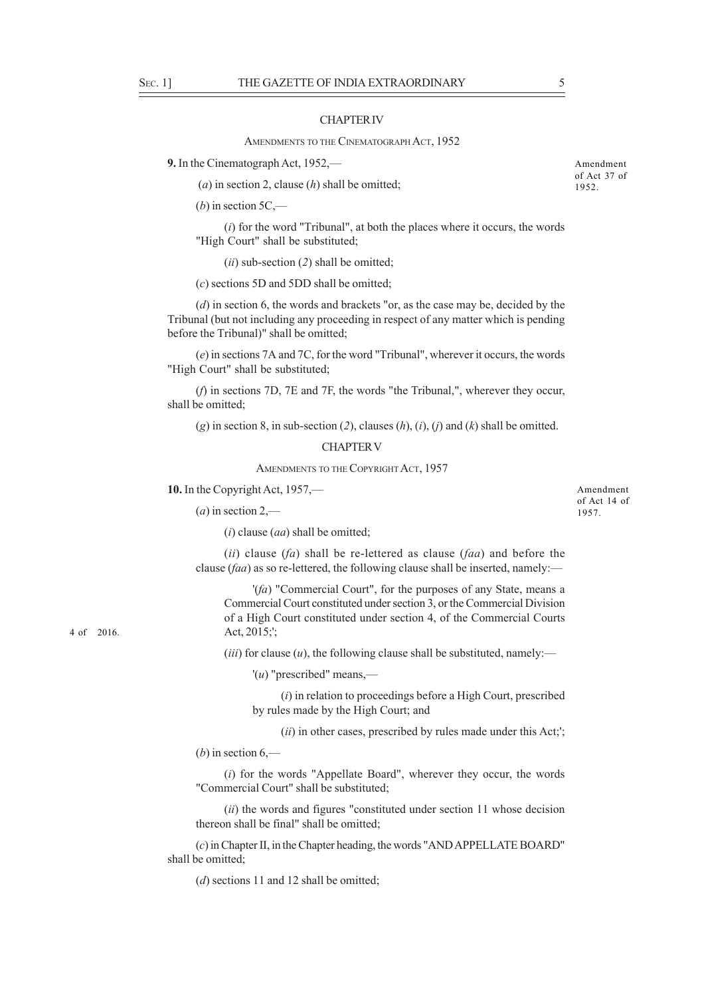#### CHAPTER IV

AMENDMENTS TO THE CINEMATOGRAPH ACT, 1952

**9.** In the Cinematograph Act, 1952,—

(*a*) in section 2, clause (*h*) shall be omitted;

 $(b)$  in section 5C,—

(*i*) for the word "Tribunal", at both the places where it occurs, the words "High Court" shall be substituted;

(*ii*) sub-section (*2*) shall be omitted;

(*c*) sections 5D and 5DD shall be omitted;

(*d*) in section 6, the words and brackets "or, as the case may be, decided by the Tribunal (but not including any proceeding in respect of any matter which is pending before the Tribunal)" shall be omitted;

(*e*) in sections 7A and 7C, for the word "Tribunal", wherever it occurs, the words "High Court" shall be substituted;

(*f*) in sections 7D, 7E and 7F, the words "the Tribunal,", wherever they occur, shall be omitted;

(*g*) in section 8, in sub-section (*2*), clauses (*h*), (*i*), (*j*) and (*k*) shall be omitted.

#### CHAPTER V

AMENDMENTS TO THE COPYRIGHT ACT, 1957

**10.** In the Copyright Act, 1957,—

 $(a)$  in section 2,—

(*i*) clause (*aa*) shall be omitted;

(*ii*) clause (*fa*) shall be re-lettered as clause (*faa*) and before the clause (*faa*) as so re-lettered, the following clause shall be inserted, namely:—

'(*fa*) "Commercial Court", for the purposes of any State, means a Commercial Court constituted under section 3, or the Commercial Division of a High Court constituted under section 4, of the Commercial Courts Act, 2015;';

 $(iii)$  for clause  $(u)$ , the following clause shall be substituted, namely:—

'(*u*) "prescribed" means,—

(*i*) in relation to proceedings before a High Court, prescribed by rules made by the High Court; and

(*ii*) in other cases, prescribed by rules made under this Act;';

 $(b)$  in section  $6$ ,—

(*i*) for the words "Appellate Board", wherever they occur, the words "Commercial Court" shall be substituted;

(*ii*) the words and figures "constituted under section 11 whose decision thereon shall be final" shall be omitted;

(*c*) in Chapter II, in the Chapter heading, the words "AND APPELLATE BOARD" shall be omitted;

(*d*) sections 11 and 12 shall be omitted;

Amendment of Act 37 of 1952.

Amendment of Act 14 of 1957.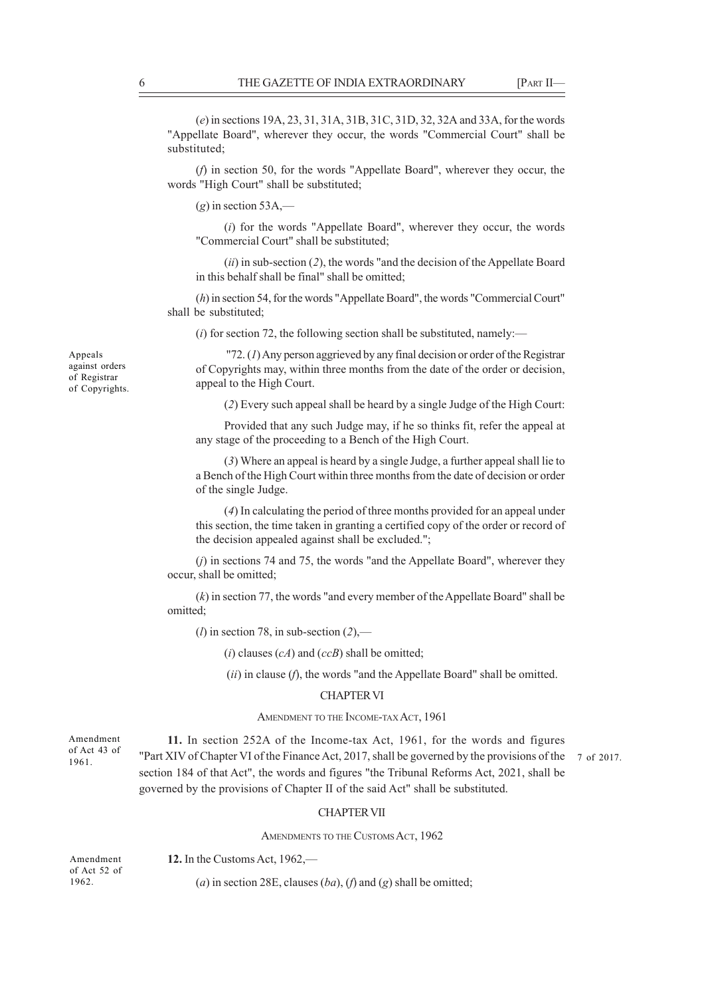(*e*) in sections 19A, 23, 31, 31A, 31B, 31C, 31D, 32, 32A and 33A, for the words "Appellate Board", wherever they occur, the words "Commercial Court" shall be substituted;

(*f*) in section 50, for the words "Appellate Board", wherever they occur, the words "High Court" shall be substituted;

 $(g)$  in section 53A,—

(*i*) for the words "Appellate Board", wherever they occur, the words "Commercial Court" shall be substituted;

(*ii*) in sub-section (*2*), the words "and the decision of the Appellate Board in this behalf shall be final" shall be omitted;

(*h*) in section 54, for the words "Appellate Board", the words "Commercial Court" shall be substituted;

 $(i)$  for section 72, the following section shall be substituted, namely:—

 "72. (*1*) Any person aggrieved by any final decision or order of the Registrar of Copyrights may, within three months from the date of the order or decision, appeal to the High Court.

(*2*) Every such appeal shall be heard by a single Judge of the High Court:

Provided that any such Judge may, if he so thinks fit, refer the appeal at any stage of the proceeding to a Bench of the High Court.

(*3*) Where an appeal is heard by a single Judge, a further appeal shall lie to a Bench of the High Court within three months from the date of decision or order of the single Judge.

(*4*) In calculating the period of three months provided for an appeal under this section, the time taken in granting a certified copy of the order or record of the decision appealed against shall be excluded.";

(*j*) in sections 74 and 75, the words "and the Appellate Board", wherever they occur, shall be omitted;

(*k*) in section 77, the words "and every member of the Appellate Board" shall be omitted;

(*l*) in section 78, in sub-section (*2*),—

(*i*) clauses (*cA*) and (*ccB*) shall be omitted;

(*ii*) in clause (*f*), the words "and the Appellate Board" shall be omitted.

#### CHAPTER VI

#### AMENDMENT TO THE INCOME-TAX ACT, 1961

**11.** In section 252A of the Income-tax Act, 1961, for the words and figures "Part XIV of Chapter VI of the Finance Act, 2017, shall be governed by the provisions of the section 184 of that Act", the words and figures "the Tribunal Reforms Act, 2021, shall be governed by the provisions of Chapter II of the said Act" shall be substituted. 7 of 2017.

#### CHAPTER VII

AMENDMENTS TO THE CUSTOMS ACT, 1962

| Amendment    | 12. In the Customs Act, $1962$ —                                                |
|--------------|---------------------------------------------------------------------------------|
| of Act 52 of |                                                                                 |
| 1962.        | ( <i>a</i> ) in section 28E, clauses $(ba)$ , $(f)$ and $(g)$ shall be omitted; |
|              |                                                                                 |

Appeals against orders of Registrar of Copyrights.

# 1961.

Amendment of Act 43 of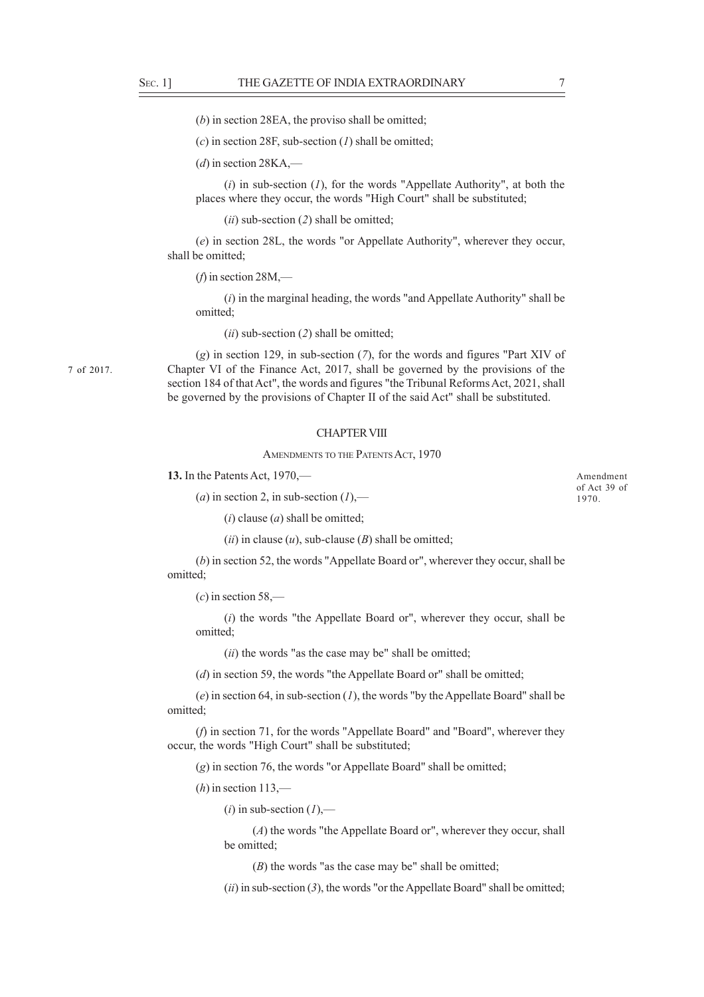7 of 2017.

(*b*) in section 28EA, the proviso shall be omitted;

(*c*) in section 28F, sub-section (*1*) shall be omitted;

 $(d)$  in section 28KA,—

(*i*) in sub-section (*1*), for the words "Appellate Authority", at both the places where they occur, the words "High Court" shall be substituted;

(*ii*) sub-section (*2*) shall be omitted;

(*e*) in section 28L, the words "or Appellate Authority", wherever they occur, shall be omitted;

 $(f)$  in section 28M,—

(*i*) in the marginal heading, the words "and Appellate Authority" shall be omitted;

(*ii*) sub-section (*2*) shall be omitted;

(*g*) in section 129, in sub-section (*7*), for the words and figures "Part XIV of Chapter VI of the Finance Act, 2017, shall be governed by the provisions of the section 184 of that Act", the words and figures "the Tribunal Reforms Act, 2021, shall be governed by the provisions of Chapter II of the said Act" shall be substituted.

#### CHAPTER VIII

#### AMENDMENTS TO THE PATENTS ACT, 1970

**13.** In the Patents Act, 1970,—

 $(a)$  in section 2, in sub-section  $(I)$ ,—

(*i*) clause (*a*) shall be omitted;

 $(iii)$  in clause  $(u)$ , sub-clause  $(B)$  shall be omitted;

(*b*) in section 52, the words "Appellate Board or", wherever they occur, shall be omitted;

(*c*) in section 58,—

(*i*) the words "the Appellate Board or", wherever they occur, shall be omitted;

(*ii*) the words "as the case may be" shall be omitted;

(*d*) in section 59, the words "the Appellate Board or" shall be omitted;

(*e*) in section 64, in sub-section (*1*), the words "by the Appellate Board" shall be omitted;

(*f*) in section 71, for the words "Appellate Board" and "Board", wherever they occur, the words "High Court" shall be substituted;

(*g*) in section 76, the words "or Appellate Board" shall be omitted;

(*h*) in section 113,—

 $(i)$  in sub-section  $(I)$ ,—

(*A*) the words "the Appellate Board or", wherever they occur, shall be omitted;

(*B*) the words "as the case may be" shall be omitted;

(*ii*) in sub-section (*3*), the words "or the Appellate Board" shall be omitted;

Amendment of Act 39 of 1970.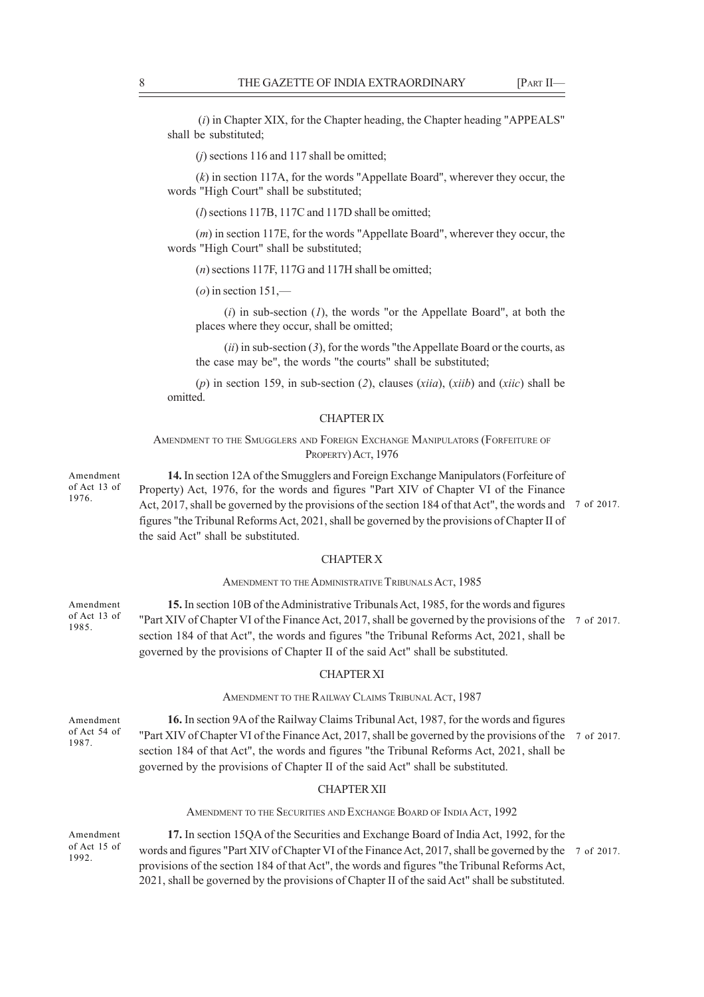(*i*) in Chapter XIX, for the Chapter heading, the Chapter heading "APPEALS" shall be substituted;

(*j*) sections 116 and 117 shall be omitted;

(*k*) in section 117A, for the words "Appellate Board", wherever they occur, the words "High Court" shall be substituted;

(*l*) sections 117B, 117C and 117D shall be omitted;

(*m*) in section 117E, for the words "Appellate Board", wherever they occur, the words "High Court" shall be substituted;

(*n*) sections 117F, 117G and 117H shall be omitted;

(*o*) in section 151,—

(*i*) in sub-section (*1*), the words "or the Appellate Board", at both the places where they occur, shall be omitted;

(*ii*) in sub-section (*3*), for the words "the Appellate Board or the courts, as the case may be", the words "the courts" shall be substituted;

(*p*) in section 159, in sub-section (*2*), clauses (*xiia*), (*xiib*) and (*xiic*) shall be omitted.

#### CHAPTER IX

AMENDMENT TO THE SMUGGLERS AND FOREIGN EXCHANGE MANIPULATORS (FORFEITURE OF PROPERTY) ACT, 1976

**14.** In section 12A of the Smugglers and Foreign Exchange Manipulators (Forfeiture of Property) Act, 1976, for the words and figures "Part XIV of Chapter VI of the Finance Act, 2017, shall be governed by the provisions of the section 184 of that Act", the words and  $\frac{7}{1}$  of 2017. figures "the Tribunal Reforms Act, 2021, shall be governed by the provisions of Chapter II of the said Act" shall be substituted.

# CHAPTER X

#### AMENDMENT TO THE ADMINISTRATIVE TRIBUNALS ACT, 1985

**15.** In section 10B of the Administrative Tribunals Act, 1985, for the words and figures "Part XIV of Chapter VI of the Finance Act, 2017, shall be governed by the provisions of the 7 of 2017. section 184 of that Act", the words and figures "the Tribunal Reforms Act, 2021, shall be governed by the provisions of Chapter II of the said Act" shall be substituted. of Act 13 of

#### CHAPTER XI

AMENDMENT TO THE RAILWAY CLAIMS TRIBUNAL ACT, 1987

**16.** In section 9A of the Railway Claims Tribunal Act, 1987, for the words and figures "Part XIV of Chapter VI of the Finance Act, 2017, shall be governed by the provisions of the 7 of 2017. section 184 of that Act", the words and figures "the Tribunal Reforms Act, 2021, shall be governed by the provisions of Chapter II of the said Act" shall be substituted. Amendment of Act 54 of

#### CHAPTER XII

AMENDMENT TO THE SECURITIES AND EXCHANGE BOARD OF INDIA ACT, 1992

Amendment of Act 15 of 1992.

Amendment of Act 13 of 1976.

Amendment

1985.

1987.

**17.** In section 15QA of the Securities and Exchange Board of India Act, 1992, for the words and figures "Part XIV of Chapter VI of the Finance Act, 2017, shall be governed by the 7 of 2017. provisions of the section 184 of that Act", the words and figures "the Tribunal Reforms Act, 2021, shall be governed by the provisions of Chapter II of the said Act" shall be substituted.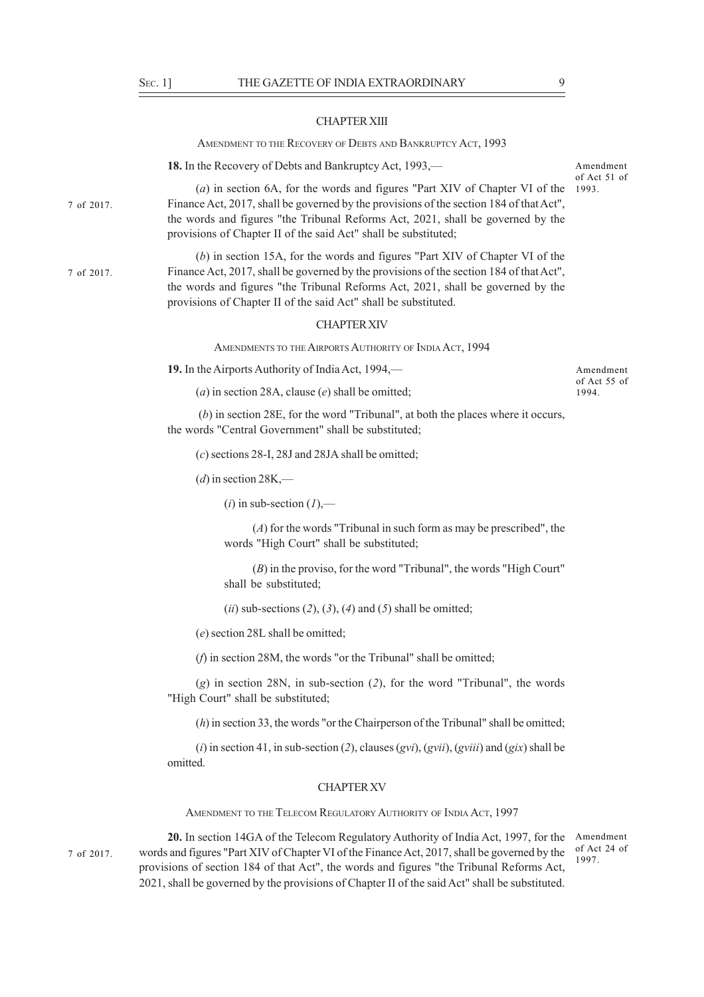CHAPTER XIII

| ртсү Аст, 1993 |  |
|----------------|--|

**18.** In the Recovery of Debts and Bankruptcy Act, 1993,—

AMENDMENT TO THE RECOVERY OF DEBTS AND BANKRU

7 of 2017.

7 of 2017.

(*a*) in section 6A, for the words and figures "Part XIV of Chapter VI of the 1993.Finance Act, 2017, shall be governed by the provisions of the section 184 of that Act", the words and figures "the Tribunal Reforms Act, 2021, shall be governed by the provisions of Chapter II of the said Act" shall be substituted;

(*b*) in section 15A, for the words and figures "Part XIV of Chapter VI of the Finance Act, 2017, shall be governed by the provisions of the section 184 of that Act", the words and figures "the Tribunal Reforms Act, 2021, shall be governed by the provisions of Chapter II of the said Act" shall be substituted.

#### CHAPTER XIV

AMENDMENTS TO THE AIRPORTS AUTHORITY OF INDIA ACT, 1994

**19.** In the Airports Authority of India Act, 1994,—

(*a*) in section 28A, clause (*e*) shall be omitted;

 (*b*) in section 28E, for the word "Tribunal", at both the places where it occurs, the words "Central Government" shall be substituted;

(*c*) sections 28-I, 28J and 28JA shall be omitted;

 $(d)$  in section 28K,—

 $(i)$  in sub-section  $(l)$ ,—

(*A*) for the words "Tribunal in such form as may be prescribed", the words "High Court" shall be substituted;

(*B*) in the proviso, for the word "Tribunal", the words "High Court" shall be substituted;

(*ii*) sub-sections (*2*), (*3*), (*4*) and (*5*) shall be omitted;

(*e*) section 28L shall be omitted;

(*f*) in section 28M, the words "or the Tribunal" shall be omitted;

(*g*) in section 28N, in sub-section (*2*), for the word "Tribunal", the words "High Court" shall be substituted;

(*h*) in section 33, the words "or the Chairperson of the Tribunal" shall be omitted;

(*i*) in section 41, in sub-section (*2*), clauses (*gvi*), (*gvii*), (*gviii*) and (*gix*) shall be omitted.

#### CHAPTER XV

AMENDMENT TO THE TELECOM REGULATORY AUTHORITY OF INDIA ACT, 1997

7 of 2017.

20. In section 14GA of the Telecom Regulatory Authority of India Act, 1997, for the Amendment words and figures "Part XIV of Chapter VI of the Finance Act, 2017, shall be governed by the provisions of section 184 of that Act", the words and figures "the Tribunal Reforms Act, 2021, shall be governed by the provisions of Chapter II of the said Act" shall be substituted.

of Act 24 of 1997.

Amendment of Act 55 of 1994.

Amendment of Act 51 of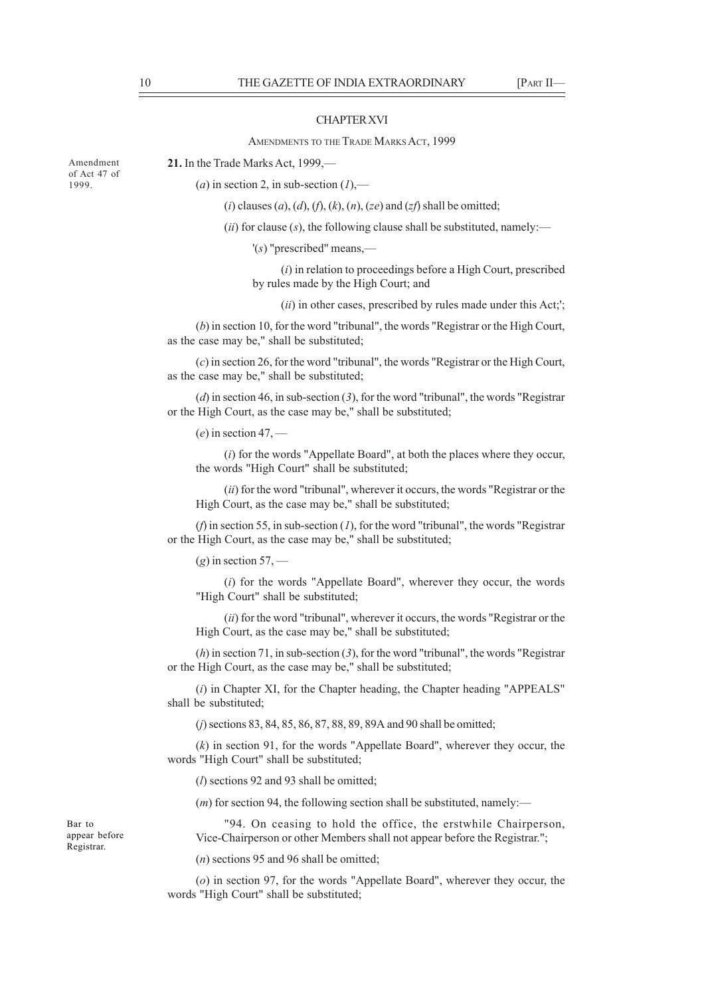#### CHAPTER XVI

#### AMENDMENTS TO THE TRADE MARKS ACT, 1999

**21.** In the Trade Marks Act, 1999,—

 $(a)$  in section 2, in sub-section  $(1)$ ,—

(*i*) clauses (*a*), (*d*), (*f*), (*k*), (*n*), (*ze*) and (*zf*) shall be omitted;

(*ii*) for clause (*s*), the following clause shall be substituted, namely:—

'(*s*) "prescribed" means,—

(*i*) in relation to proceedings before a High Court, prescribed by rules made by the High Court; and

(*ii*) in other cases, prescribed by rules made under this Act;';

(*b*) in section 10, for the word "tribunal", the words "Registrar or the High Court, as the case may be," shall be substituted;

(*c*) in section 26, for the word "tribunal", the words "Registrar or the High Court, as the case may be," shall be substituted;

(*d*) in section 46, in sub-section (*3*), for the word "tribunal", the words "Registrar or the High Court, as the case may be," shall be substituted;

(*e*) in section 47, —

(*i*) for the words "Appellate Board", at both the places where they occur, the words "High Court" shall be substituted;

(*ii*) for the word "tribunal", wherever it occurs, the words "Registrar or the High Court, as the case may be," shall be substituted;

(*f*) in section 55, in sub-section (*1*), for the word "tribunal", the words "Registrar or the High Court, as the case may be," shall be substituted;

 $(g)$  in section 57, —

(*i*) for the words "Appellate Board", wherever they occur, the words "High Court" shall be substituted;

(*ii*) for the word "tribunal", wherever it occurs, the words "Registrar or the High Court, as the case may be," shall be substituted;

(*h*) in section 71, in sub-section (*3*), for the word "tribunal", the words "Registrar or the High Court, as the case may be," shall be substituted;

(*i*) in Chapter XI, for the Chapter heading, the Chapter heading "APPEALS" shall be substituted;

(*j*) sections 83, 84, 85, 86, 87, 88, 89, 89A and 90 shall be omitted;

(*k*) in section 91, for the words "Appellate Board", wherever they occur, the words "High Court" shall be substituted;

(*l*) sections 92 and 93 shall be omitted;

 $(m)$  for section 94, the following section shall be substituted, namely:—

"94. On ceasing to hold the office, the erstwhile Chairperson, Vice-Chairperson or other Members shall not appear before the Registrar.";

(*n*) sections 95 and 96 shall be omitted;

(*o*) in section 97, for the words "Appellate Board", wherever they occur, the words "High Court" shall be substituted;

Bar to appear before Registrar.

Amendment of Act 47 of 1999.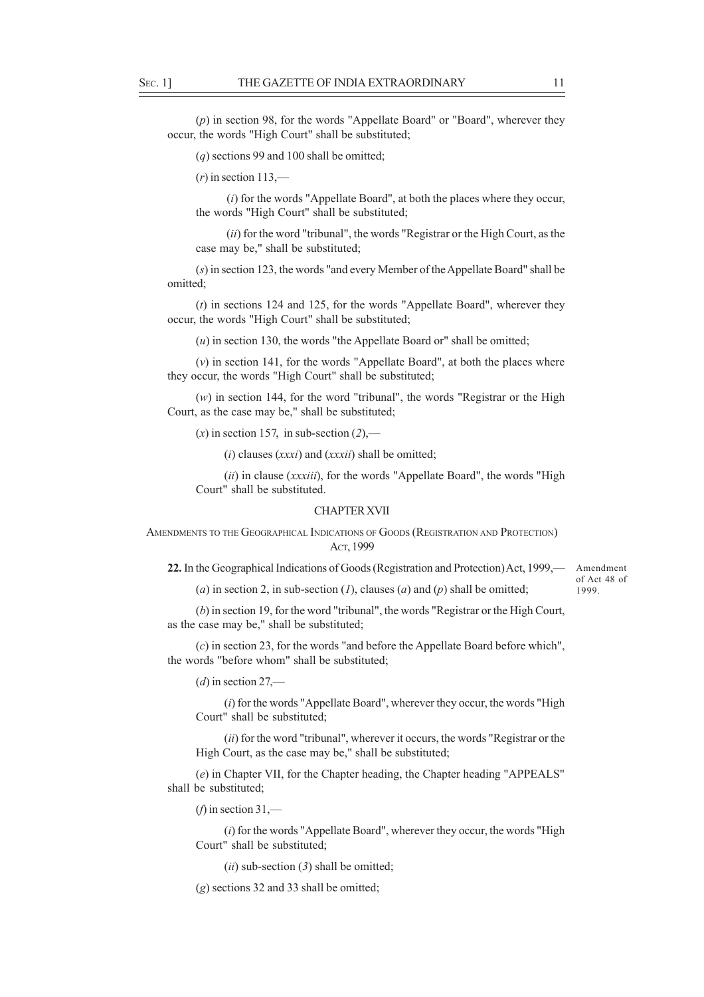(*p*) in section 98, for the words "Appellate Board" or "Board", wherever they occur, the words "High Court" shall be substituted;

(*q*) sections 99 and 100 shall be omitted;

 $(r)$  in section 113,—

 (*i*) for the words "Appellate Board", at both the places where they occur, the words "High Court" shall be substituted;

 (*ii*) for the word "tribunal", the words "Registrar or the High Court, as the case may be," shall be substituted;

(*s*) in section 123, the words "and every Member of the Appellate Board" shall be omitted;

(*t*) in sections 124 and 125, for the words "Appellate Board", wherever they occur, the words "High Court" shall be substituted;

(*u*) in section 130, the words "the Appellate Board or" shall be omitted;

(*v*) in section 141, for the words "Appellate Board", at both the places where they occur, the words "High Court" shall be substituted;

(*w*) in section 144, for the word "tribunal", the words "Registrar or the High Court, as the case may be," shall be substituted;

 $(x)$  in section 157, in sub-section  $(2)$ ,—

(*i*) clauses (*xxxi*) and (*xxxii*) shall be omitted;

(*ii*) in clause (*xxxiii*), for the words "Appellate Board", the words "High Court" shall be substituted.

#### CHAPTER XVII

AMENDMENTS TO THE GEOGRAPHICAL INDICATIONS OF GOODS (REGISTRATION AND PROTECTION) ACT, 1999

22. In the Geographical Indications of Goods (Registration and Protection) Act, 1999,— Amendment

(*a*) in section 2, in sub-section (*1*), clauses (*a*) and (*p*) shall be omitted;

of Act 48 of 1999.

(*b*) in section 19, for the word "tribunal", the words "Registrar or the High Court, as the case may be," shall be substituted;

(*c*) in section 23, for the words "and before the Appellate Board before which", the words "before whom" shall be substituted;

(*d*) in section 27,—

(*i*) for the words "Appellate Board", wherever they occur, the words "High Court" shall be substituted;

(*ii*) for the word "tribunal", wherever it occurs, the words "Registrar or the High Court, as the case may be," shall be substituted;

(*e*) in Chapter VII, for the Chapter heading, the Chapter heading "APPEALS" shall be substituted;

(*f*) in section  $31$ ,—

(*i*) for the words "Appellate Board", wherever they occur, the words "High Court" shall be substituted;

(*ii*) sub-section (*3*) shall be omitted;

(*g*) sections 32 and 33 shall be omitted;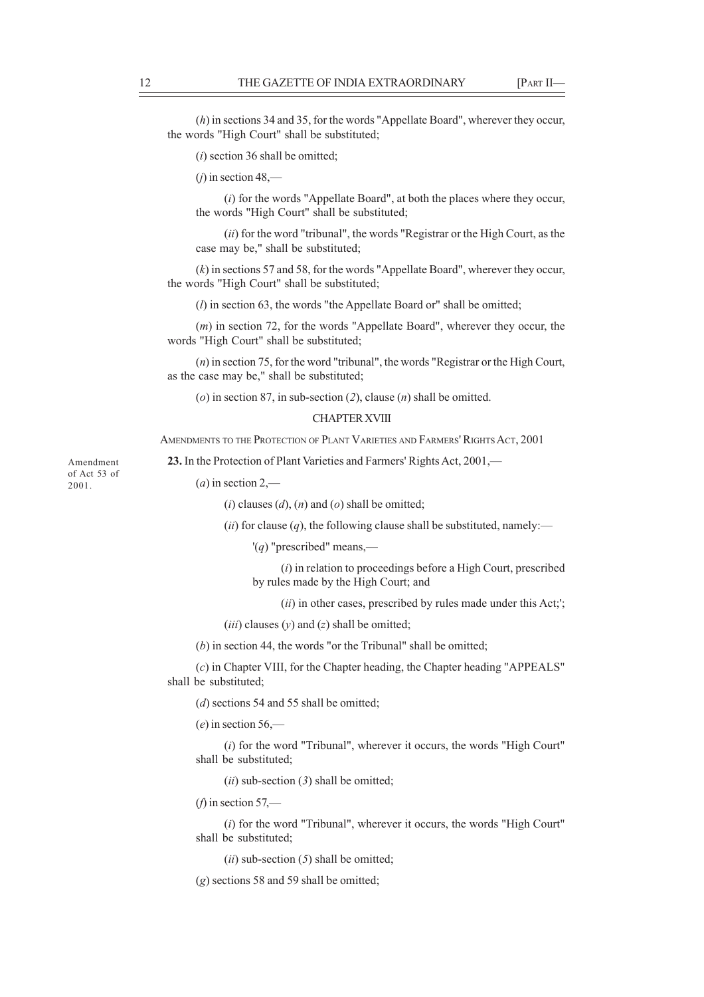(*h*) in sections 34 and 35, for the words "Appellate Board", wherever they occur, the words "High Court" shall be substituted;

(*i*) section 36 shall be omitted;

 $(i)$  in section 48,—

(*i*) for the words "Appellate Board", at both the places where they occur, the words "High Court" shall be substituted;

(*ii*) for the word "tribunal", the words "Registrar or the High Court, as the case may be," shall be substituted;

(*k*) in sections 57 and 58, for the words "Appellate Board", wherever they occur, the words "High Court" shall be substituted;

(*l*) in section 63, the words "the Appellate Board or" shall be omitted;

(*m*) in section 72, for the words "Appellate Board", wherever they occur, the words "High Court" shall be substituted;

(*n*) in section 75, for the word "tribunal", the words "Registrar or the High Court, as the case may be," shall be substituted;

(*o*) in section 87, in sub-section (*2*), clause (*n*) shall be omitted.

#### CHAPTER XVIII

AMENDMENTS TO THE PROTECTION OF PLANT VARIETIES AND FARMERS' RIGHTS ACT, 2001

**23.** In the Protection of Plant Varieties and Farmers' Rights Act, 2001,—

 $(a)$  in section 2,—

(*i*) clauses (*d*), (*n*) and (*o*) shall be omitted;

(*ii*) for clause (*q*), the following clause shall be substituted, namely:—

'(*q*) "prescribed" means,—

(*i*) in relation to proceedings before a High Court, prescribed by rules made by the High Court; and

(*ii*) in other cases, prescribed by rules made under this Act;';

(*iii*) clauses (*y*) and (*z*) shall be omitted;

(*b*) in section 44, the words "or the Tribunal" shall be omitted;

(*c*) in Chapter VIII, for the Chapter heading, the Chapter heading "APPEALS" shall be substituted;

(*d*) sections 54 and 55 shall be omitted;

(*e*) in section 56,—

(*i*) for the word "Tribunal", wherever it occurs, the words "High Court" shall be substituted;

(*ii*) sub-section (*3*) shall be omitted;

 $(f)$  in section 57,—

(*i*) for the word "Tribunal", wherever it occurs, the words "High Court" shall be substituted;

(*ii*) sub-section (*5*) shall be omitted;

(*g*) sections 58 and 59 shall be omitted;

Amendment of Act 53 of 2001.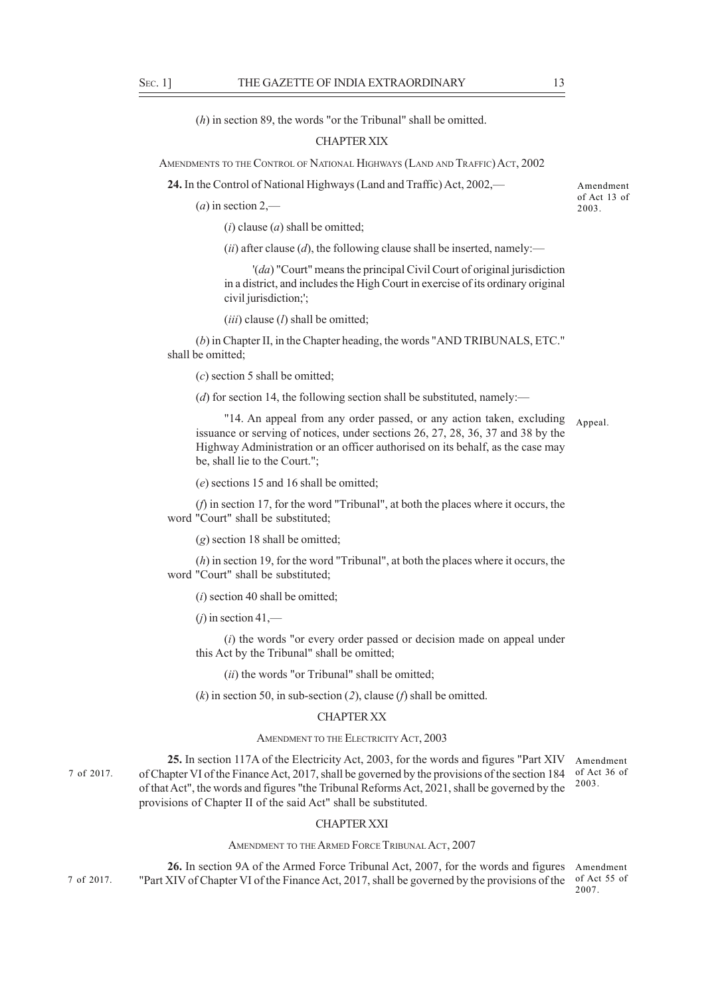(*h*) in section 89, the words "or the Tribunal" shall be omitted.

#### CHAPTER XIX

AMENDMENTS TO THE CONTROL OF NATIONAL HIGHWAYS (LAND AND TRAFFIC) ACT, 2002

**24.** In the Control of National Highways (Land and Traffic) Act, 2002,—

 $(a)$  in section 2,—

(*i*) clause (*a*) shall be omitted;

(*ii*) after clause (*d*), the following clause shall be inserted, namely:—

'(*da*) "Court" means the principal Civil Court of original jurisdiction in a district, and includes the High Court in exercise of its ordinary original civil jurisdiction;';

(*iii*) clause (*l*) shall be omitted;

(*b*) in Chapter II, in the Chapter heading, the words "AND TRIBUNALS, ETC." shall be omitted;

(*c*) section 5 shall be omitted;

(*d*) for section 14, the following section shall be substituted, namely:—

"14. An appeal from any order passed, or any action taken, excluding Appeal. issuance or serving of notices, under sections 26, 27, 28, 36, 37 and 38 by the Highway Administration or an officer authorised on its behalf, as the case may be, shall lie to the Court.";

(*e*) sections 15 and 16 shall be omitted;

(*f*) in section 17, for the word "Tribunal", at both the places where it occurs, the word "Court" shall be substituted;

(*g*) section 18 shall be omitted;

(*h*) in section 19, for the word "Tribunal", at both the places where it occurs, the word "Court" shall be substituted;

(*i*) section 40 shall be omitted;

 $(i)$  in section 41,—

(*i*) the words "or every order passed or decision made on appeal under this Act by the Tribunal" shall be omitted;

(*ii*) the words "or Tribunal" shall be omitted;

(*k*) in section 50, in sub-section (*2*), clause (*f*) shall be omitted.

#### CHAPTER XX

#### AMENDMENT TO THE ELECTRICITY ACT, 2003

**25.** In section 117A of the Electricity Act, 2003, for the words and figures "Part XIV of Chapter VI of the Finance Act, 2017, shall be governed by the provisions of the section 184 of Act 36 of of that Act", the words and figures "the Tribunal Reforms Act, 2021, shall be governed by the provisions of Chapter II of the said Act" shall be substituted. Amendment 2003. 7 of 2017.

#### CHAPTER XXI

AMENDMENT TO THE ARMED FORCE TRIBUNAL ACT, 2007

26. In section 9A of the Armed Force Tribunal Act, 2007, for the words and figures Amendment "Part XIV of Chapter VI of the Finance Act, 2017, shall be governed by the provisions of the of Act 55 of 7 of 2017.

2007.

Amendment of Act 13 of 2003.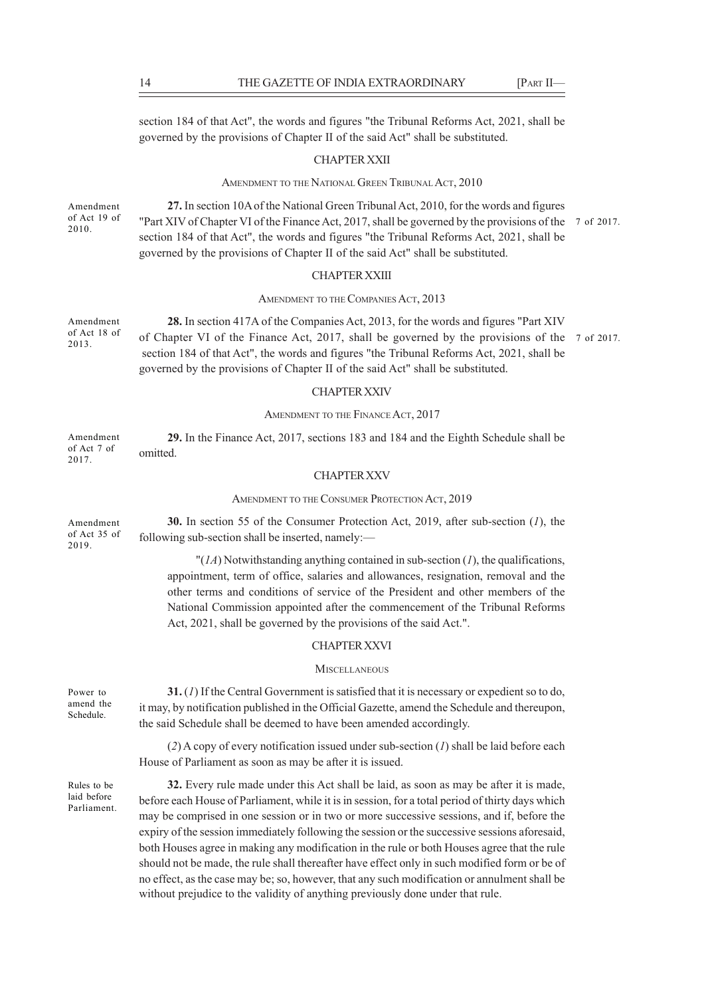section 184 of that Act", the words and figures "the Tribunal Reforms Act, 2021, shall be governed by the provisions of Chapter II of the said Act" shall be substituted.

#### CHAPTER XXII

#### AMENDMENT TO THE NATIONAL GREEN TRIBUNAL ACT, 2010

Amendment of Act 19 of 2010.

**27.** In section 10A of the National Green Tribunal Act, 2010, for the words and figures "Part XIV of Chapter VI of the Finance Act, 2017, shall be governed by the provisions of the 7 of 2017. section 184 of that Act", the words and figures "the Tribunal Reforms Act, 2021, shall be governed by the provisions of Chapter II of the said Act" shall be substituted.

#### CHAPTER XXIII

AMENDMENT TO THE COMPANIES ACT, 2013

**28.** In section 417A of the Companies Act, 2013, for the words and figures "Part XIV of Chapter VI of the Finance Act, 2017, shall be governed by the provisions of the 7 of 2017. section 184 of that Act", the words and figures "the Tribunal Reforms Act, 2021, shall be governed by the provisions of Chapter II of the said Act" shall be substituted.

#### CHAPTER XXIV

#### AMENDMENT TO THE FINANCE ACT, 2017

**29.** In the Finance Act, 2017, sections 183 and 184 and the Eighth Schedule shall be omitted. Amendment of Act 7 of 2017.

#### CHAPTER XXV

#### AMENDMENT TO THE CONSUMER PROTECTION ACT, 2019

**30.** In section 55 of the Consumer Protection Act, 2019, after sub-section (*1*), the following sub-section shall be inserted, namely:— Amendment of Act 35 of 2019.

> "(*1A*) Notwithstanding anything contained in sub-section (*1*), the qualifications, appointment, term of office, salaries and allowances, resignation, removal and the other terms and conditions of service of the President and other members of the National Commission appointed after the commencement of the Tribunal Reforms Act, 2021, shall be governed by the provisions of the said Act.".

#### CHAPTER XXVI

#### **MISCELLANEOUS**

**31.** (*1*) If the Central Government is satisfied that it is necessary or expedient so to do, it may, by notification published in the Official Gazette, amend the Schedule and thereupon, the said Schedule shall be deemed to have been amended accordingly. amend the

> (*2*) A copy of every notification issued under sub-section (*1*) shall be laid before each House of Parliament as soon as may be after it is issued.

Rules to be laid before Parliament.

Power to

Schedule.

**32.** Every rule made under this Act shall be laid, as soon as may be after it is made, before each House of Parliament, while it is in session, for a total period of thirty days which may be comprised in one session or in two or more successive sessions, and if, before the expiry of the session immediately following the session or the successive sessions aforesaid, both Houses agree in making any modification in the rule or both Houses agree that the rule should not be made, the rule shall thereafter have effect only in such modified form or be of no effect, as the case may be; so, however, that any such modification or annulment shall be without prejudice to the validity of anything previously done under that rule.

Amendment of Act 18 of 2013.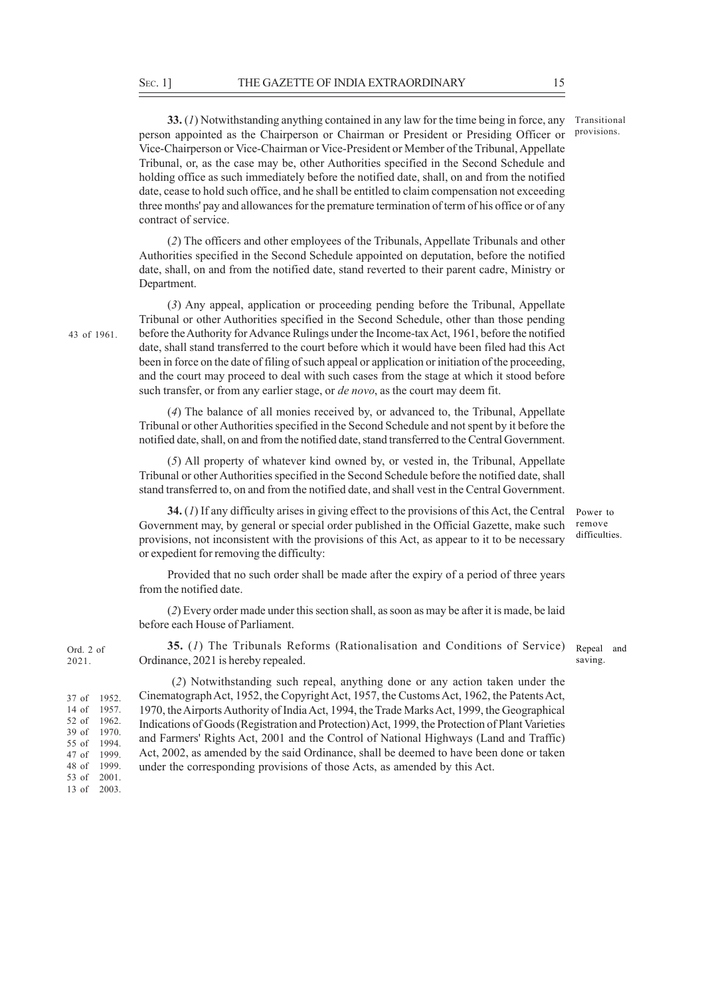**33.** (*1*) Notwithstanding anything contained in any law for the time being in force, any person appointed as the Chairperson or Chairman or President or Presiding Officer or Vice-Chairperson or Vice-Chairman or Vice-President or Member of the Tribunal, Appellate Tribunal, or, as the case may be, other Authorities specified in the Second Schedule and holding office as such immediately before the notified date, shall, on and from the notified date, cease to hold such office, and he shall be entitled to claim compensation not exceeding three months' pay and allowances for the premature termination of term of his office or of any contract of service.

(*2*) The officers and other employees of the Tribunals, Appellate Tribunals and other Authorities specified in the Second Schedule appointed on deputation, before the notified date, shall, on and from the notified date, stand reverted to their parent cadre, Ministry or Department.

(*3*) Any appeal, application or proceeding pending before the Tribunal, Appellate Tribunal or other Authorities specified in the Second Schedule, other than those pending before the Authority for Advance Rulings under the Income-tax Act, 1961, before the notified date, shall stand transferred to the court before which it would have been filed had this Act been in force on the date of filing of such appeal or application or initiation of the proceeding, and the court may proceed to deal with such cases from the stage at which it stood before such transfer, or from any earlier stage, or *de novo*, as the court may deem fit.

(*4*) The balance of all monies received by, or advanced to, the Tribunal, Appellate Tribunal or other Authorities specified in the Second Schedule and not spent by it before the notified date, shall, on and from the notified date, stand transferred to the Central Government.

(*5*) All property of whatever kind owned by, or vested in, the Tribunal, Appellate Tribunal or other Authorities specified in the Second Schedule before the notified date, shall stand transferred to, on and from the notified date, and shall vest in the Central Government.

**34.** (*1*) If any difficulty arises in giving effect to the provisions of this Act, the Central Government may, by general or special order published in the Official Gazette, make such provisions, not inconsistent with the provisions of this Act, as appear to it to be necessary or expedient for removing the difficulty: Power to remove difficulties.

Provided that no such order shall be made after the expiry of a period of three years from the notified date.

(*2*) Every order made under this section shall, as soon as may be after it is made, be laid before each House of Parliament.

**35.** (*1*) The Tribunals Reforms (Rationalisation and Conditions of Service) Ordinance, 2021 is hereby repealed.

Repeal and saving.

 (*2*) Notwithstanding such repeal, anything done or any action taken under the Cinematograph Act, 1952, the Copyright Act, 1957, the Customs Act, 1962, the Patents Act, 1970, the Airports Authority of India Act, 1994, the Trade Marks Act, 1999, the Geographical Indications of Goods (Registration and Protection) Act, 1999, the Protection of Plant Varieties and Farmers' Rights Act, 2001 and the Control of National Highways (Land and Traffic) Act, 2002, as amended by the said Ordinance, shall be deemed to have been done or taken under the corresponding provisions of those Acts, as amended by this Act.

43 of 1961.

Transitional provisions.

37 of 1952. 14 of 1957. 52 of 1962. 39 of 1970. 55 of 1994. 47 of 1999. 48 of 1999. 53 of 2001. 13 of 2003.

Ord. 2 of 2021.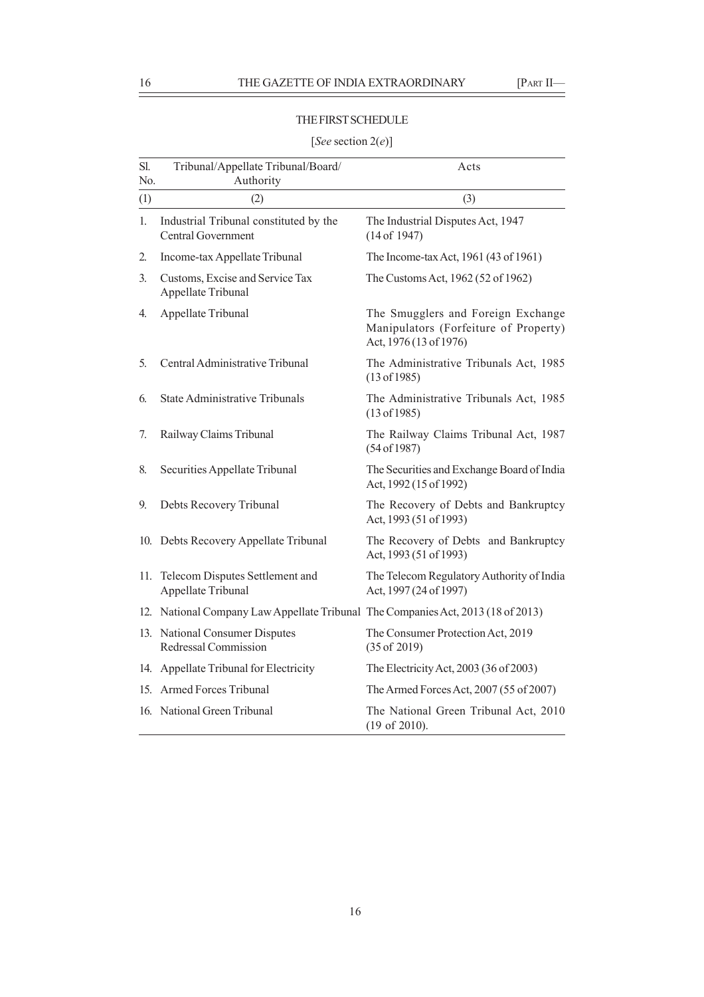#### THE FIRST SCHEDULE

## Sl. Tribunal/Appellate Tribunal/Board/ Acts No. Authority (1)  $(2)$   $(3)$ 1. Industrial Tribunal constituted by the The Industrial Disputes Act, 1947 Central Government (14 of 1947) 2. Income-tax Appellate Tribunal The Income-tax Act, 1961 (43 of 1961) 3. Customs, Excise and Service Tax The Customs Act, 1962 (52 of 1962) Appellate Tribunal 4. Appellate Tribunal The Smugglers and Foreign Exchange Manipulators (Forfeiture of Property) Act, 1976 (13 of 1976) 5. Central Administrative Tribunal The Administrative Tribunals Act, 1985 (13 of 1985) 6. State Administrative Tribunals The Administrative Tribunals Act, 1985 (13 of 1985) 7. Railway Claims Tribunal The Railway Claims Tribunal Act, 1987 (54 of 1987) 8. Securities Appellate Tribunal The Securities and Exchange Board of India Act, 1992 (15 of 1992) 9. Debts Recovery Tribunal The Recovery of Debts and Bankruptcy Act, 1993 (51 of 1993) 10. Debts Recovery Appellate Tribunal The Recovery of Debts and Bankruptcy Act, 1993 (51 of 1993) 11. Telecom Disputes Settlement and The Telecom Regulatory Authority of India Appellate Tribunal Act, 1997 (24 of 1997) 12. National Company Law Appellate Tribunal The Companies Act, 2013 (18 of 2013) 13. National Consumer Disputes The Consumer Protection Act, 2019 Redressal Commission (35 of 2019) 14. Appellate Tribunal for Electricity The Electricity Act, 2003 (36 of 2003) 15. Armed Forces Tribunal The Armed Forces Act, 2007 (55 of 2007) 16. National Green Tribunal The National Green Tribunal Act, 2010 (19 of 2010).

#### [*See* section 2(*e*)]